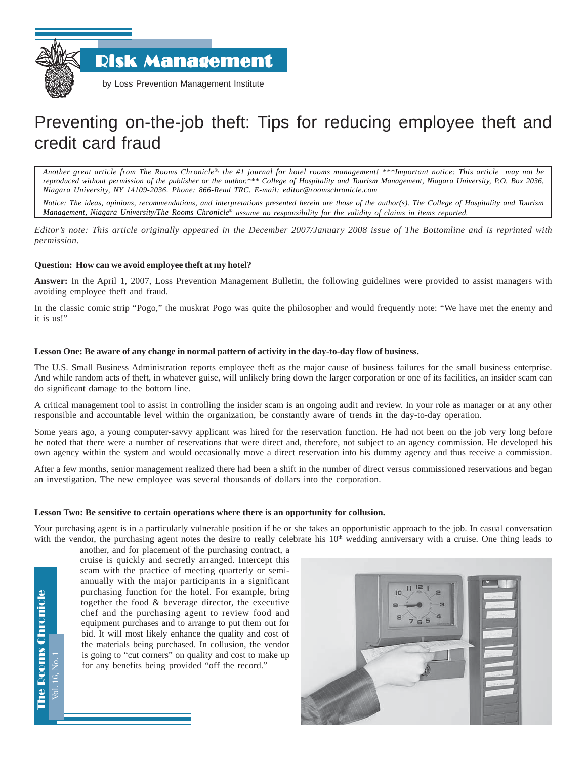Risk Management



by Loss Prevention Management Institute

# Preventing on-the-job theft: Tips for reducing employee theft and credit card fraud

*Another great article from The Rooms Chronicle*®*, the #1 journal for hotel rooms management! \*\*\*Important notice: This article may not be reproduced without permission of the publisher or the author.\*\*\* College of Hospitality and Tourism Management, Niagara University, P.O. Box 2036, Niagara University, NY 14109-2036. Phone: 866-Read TRC. E-mail: editor@roomschronicle.com*

*Notice: The ideas, opinions, recommendations, and interpretations presented herein are those of the author(s). The College of Hospitality and Tourism Management, Niagara University/The Rooms Chronicle*® *assume no responsibility for the validity of claims in items reported.*

*Editor's note: This article originally appeared in the December 2007/January 2008 issue of The Bottomline and is reprinted with permission.*

## **Question: How can we avoid employee theft at my hotel?**

**Answer:** In the April 1, 2007, Loss Prevention Management Bulletin, the following guidelines were provided to assist managers with avoiding employee theft and fraud.

In the classic comic strip "Pogo," the muskrat Pogo was quite the philosopher and would frequently note: "We have met the enemy and it is us!"

## **Lesson One: Be aware of any change in normal pattern of activity in the day-to-day flow of business.**

The U.S. Small Business Administration reports employee theft as the major cause of business failures for the small business enterprise. And while random acts of theft, in whatever guise, will unlikely bring down the larger corporation or one of its facilities, an insider scam can do significant damage to the bottom line.

A critical management tool to assist in controlling the insider scam is an ongoing audit and review. In your role as manager or at any other responsible and accountable level within the organization, be constantly aware of trends in the day-to-day operation.

Some years ago, a young computer-savvy applicant was hired for the reservation function. He had not been on the job very long before he noted that there were a number of reservations that were direct and, therefore, not subject to an agency commission. He developed his own agency within the system and would occasionally move a direct reservation into his dummy agency and thus receive a commission.

After a few months, senior management realized there had been a shift in the number of direct versus commissioned reservations and began an investigation. The new employee was several thousands of dollars into the corporation.

## **Lesson Two: Be sensitive to certain operations where there is an opportunity for collusion.**

Your purchasing agent is in a particularly vulnerable position if he or she takes an opportunistic approach to the job. In casual conversation with the vendor, the purchasing agent notes the desire to really celebrate his 10<sup>th</sup> wedding anniversary with a cruise. One thing leads to

another, and for placement of the purchasing contract, a cruise is quickly and secretly arranged. Intercept this scam with the practice of meeting quarterly or semiannually with the major participants in a significant purchasing function for the hotel. For example, bring together the food & beverage director, the executive chef and the purchasing agent to review food and equipment purchases and to arrange to put them out for bid. It will most likely enhance the quality and cost of the materials being purchased. In collusion, the vendor is going to "cut corners" on quality and cost to make up for any benefits being provided "off the record."



**The Rooms Chronicle** The Rooms Chronicle Vol. 16, No. 1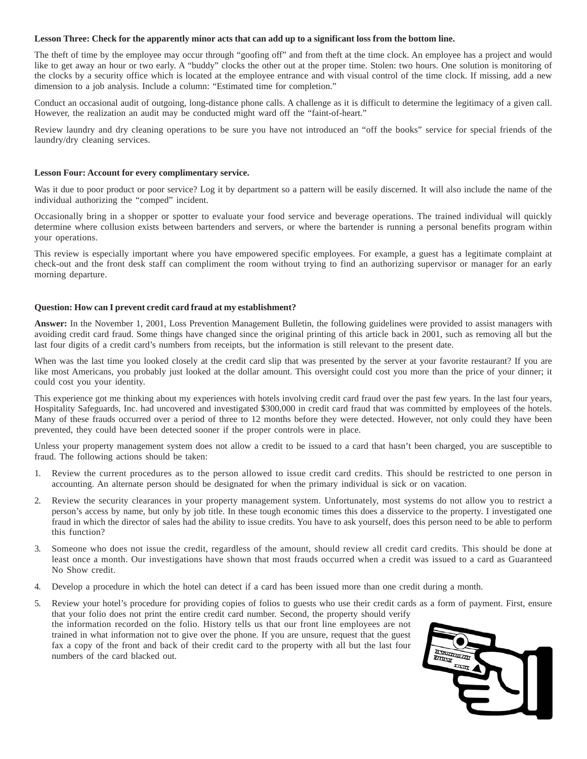#### **Lesson Three: Check for the apparently minor acts that can add up to a significant loss from the bottom line.**

The theft of time by the employee may occur through "goofing off" and from theft at the time clock. An employee has a project and would like to get away an hour or two early. A "buddy" clocks the other out at the proper time. Stolen: two hours. One solution is monitoring of the clocks by a security office which is located at the employee entrance and with visual control of the time clock. If missing, add a new dimension to a job analysis. Include a column: "Estimated time for completion."

Conduct an occasional audit of outgoing, long-distance phone calls. A challenge as it is difficult to determine the legitimacy of a given call. However, the realization an audit may be conducted might ward off the "faint-of-heart."

Review laundry and dry cleaning operations to be sure you have not introduced an "off the books" service for special friends of the laundry/dry cleaning services.

#### **Lesson Four: Account for every complimentary service.**

Was it due to poor product or poor service? Log it by department so a pattern will be easily discerned. It will also include the name of the individual authorizing the "comped" incident.

Occasionally bring in a shopper or spotter to evaluate your food service and beverage operations. The trained individual will quickly determine where collusion exists between bartenders and servers, or where the bartender is running a personal benefits program within your operations.

This review is especially important where you have empowered specific employees. For example, a guest has a legitimate complaint at check-out and the front desk staff can compliment the room without trying to find an authorizing supervisor or manager for an early morning departure.

### **Question: How can I prevent credit card fraud at my establishment?**

**Answer:** In the November 1, 2001, Loss Prevention Management Bulletin, the following guidelines were provided to assist managers with avoiding credit card fraud. Some things have changed since the original printing of this article back in 2001, such as removing all but the last four digits of a credit card's numbers from receipts, but the information is still relevant to the present date.

When was the last time you looked closely at the credit card slip that was presented by the server at your favorite restaurant? If you are like most Americans, you probably just looked at the dollar amount. This oversight could cost you more than the price of your dinner; it could cost you your identity.

This experience got me thinking about my experiences with hotels involving credit card fraud over the past few years. In the last four years, Hospitality Safeguards, Inc. had uncovered and investigated \$300,000 in credit card fraud that was committed by employees of the hotels. Many of these frauds occurred over a period of three to 12 months before they were detected. However, not only could they have been prevented, they could have been detected sooner if the proper controls were in place.

Unless your property management system does not allow a credit to be issued to a card that hasn't been charged, you are susceptible to fraud. The following actions should be taken:

- 1. Review the current procedures as to the person allowed to issue credit card credits. This should be restricted to one person in accounting. An alternate person should be designated for when the primary individual is sick or on vacation.
- 2. Review the security clearances in your property management system. Unfortunately, most systems do not allow you to restrict a person's access by name, but only by job title. In these tough economic times this does a disservice to the property. I investigated one fraud in which the director of sales had the ability to issue credits. You have to ask yourself, does this person need to be able to perform this function?
- 3. Someone who does not issue the credit, regardless of the amount, should review all credit card credits. This should be done at least once a month. Our investigations have shown that most frauds occurred when a credit was issued to a card as Guaranteed No Show credit.
- 4. Develop a procedure in which the hotel can detect if a card has been issued more than one credit during a month.
- 5. Review your hotel's procedure for providing copies of folios to guests who use their credit cards as a form of payment. First, ensure that your folio does not print the entire credit card number. Second, the property should verify the information recorded on the folio. History tells us that our front line employees are not trained in what information not to give over the phone. If you are unsure, request that the guest fax a copy of the front and back of their credit card to the property with all but the last four numbers of the card blacked out.